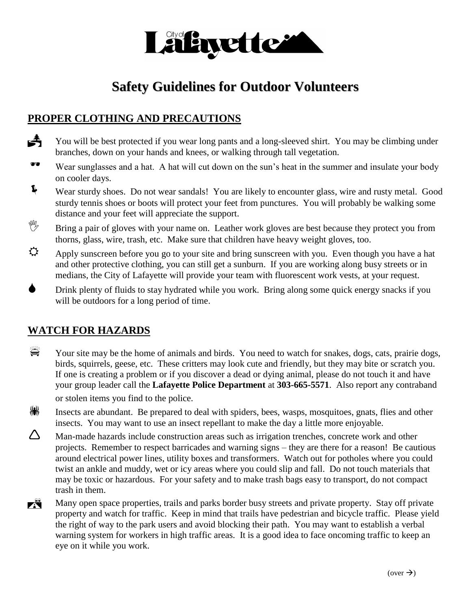

# **Safety Guidelines for Outdoor Volunteers**

## **PROPER CLOTHING AND PRECAUTIONS**

You will be best protected if you wear long pants and a long-sleeved shirt. You may be climbing under branches, down on your hands and knees, or walking through tall vegetation.

- Wear sunglasses and a hat. A hat will cut down on the sun's heat in the summer and insulate your body on cooler days.
- Wear sturdy shoes. Do not wear sandals! You are likely to encounter glass, wire and rusty metal. Good sturdy tennis shoes or boots will protect your feet from punctures. You will probably be walking some distance and your feet will appreciate the support.
- Bring a pair of gloves with your name on. Leather work gloves are best because they protect you from thorns, glass, wire, trash, etc. Make sure that children have heavy weight gloves, too.
- Apply sunscreen before you go to your site and bring sunscreen with you. Even though you have a hat and other protective clothing, you can still get a sunburn. If you are working along busy streets or in medians, the City of Lafayette will provide your team with fluorescent work vests, at your request.
- Drink plenty of fluids to stay hydrated while you work. Bring along some quick energy snacks if you will be outdoors for a long period of time.

## **WATCH FOR HAZARDS**

- Your site may be the home of animals and birds. You need to watch for snakes, dogs, cats, prairie dogs, birds, squirrels, geese, etc. These critters may look cute and friendly, but they may bite or scratch you. If one is creating a problem or if you discover a dead or dying animal, please do not touch it and have your group leader call the **Lafayette Police Department** at **303-665-5571**. Also report any contraband or stolen items you find to the police.
- $\binom{[4]}{[6]}$  Insects are abundant. Be prepared to deal with spiders, bees, wasps, mosquitoes, gnats, flies and other insects. You may want to use an insect repellant to make the day a little more enjoyable.
- $\Delta$  Man-made hazards include construction areas such as irrigation trenches, concrete work and other projects. Remember to respect barricades and warning signs – they are there for a reason! Be cautious around electrical power lines, utility boxes and transformers. Watch out for potholes where you could twist an ankle and muddy, wet or icy areas where you could slip and fall. Do not touch materials that may be toxic or hazardous. For your safety and to make trash bags easy to transport, do not compact trash in them.
- Many open space properties, trails and parks border busy streets and private property. Stay off private property and watch for traffic. Keep in mind that trails have pedestrian and bicycle traffic. Please yield the right of way to the park users and avoid blocking their path. You may want to establish a verbal warning system for workers in high traffic areas. It is a good idea to face oncoming traffic to keep an eye on it while you work.